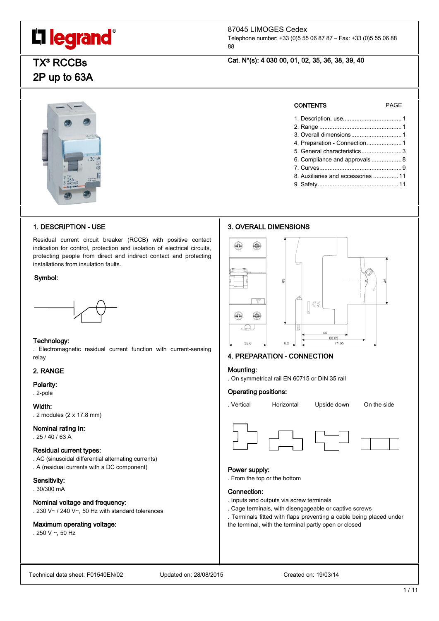# L'I legrand<sup>®</sup>

# 87045 LIMOGES Cedex

Telephone number: +33 (0)5 55 06 87 87 – Fax: +33 (0)5 55 06 88 88

> CONTENTS PAGE 1. Description, use...................................1 2. Range .................................................1 3. Overall dimensions..............................1 4. Preparation - Connection.....................1 5. General characteristics........................3 6. Compliance and approvals ..................8 7. Curves.................................................9 8. Auxiliaries and accessories ...............11 9. Safety................................................11

# Cat. N°(s): 4 030 00, 01, 02, 35, 36, 38, 39, 40

# **TX<sup>3</sup> RCCBs** 2P up to 63A



# 1. DESCRIPTION - USE

Residual current circuit breaker (RCCB) with positive contact indication for control, protection and isolation of electrical circuits, protecting people from direct and indirect contact and protecting installations from insulation faults.

# Symbol:



# Technology:

. Electromagnetic residual current function with current-sensing relay

# 2. RANGE

Polarity:

. 2-pole

Width: . 2 modules (2 x 17.8 mm)

# Nominal rating In:

 $.25/40/63A$ 

# Residual current types:

. AC (sinusoidal differential alternating currents) . A (residual currents with a DC component)

# Sensitivity:

. 30/300 mA

# Nominal voltage and frequency:

. 230 V~ / 240 V~, 50 Hz with standard tolerances

# Maximum operating voltage:

. 250 V  $\sim$ , 50 Hz

# 3. OVERALL DIMENSIONS



# 4. PREPARATION - CONNECTION

#### Mounting:

. On symmetrical rail EN 60715 or DIN 35 rail

#### Operating positions:

. Vertical Horizontal Upside down On the side



# Power supply:

. From the top or the bottom

### Connection:

- . Inputs and outputs via screw terminals
- . Cage terminals, with disengageable or captive screws
- . Terminals fitted with flaps preventing a cable being placed under the terminal, with the terminal partly open or closed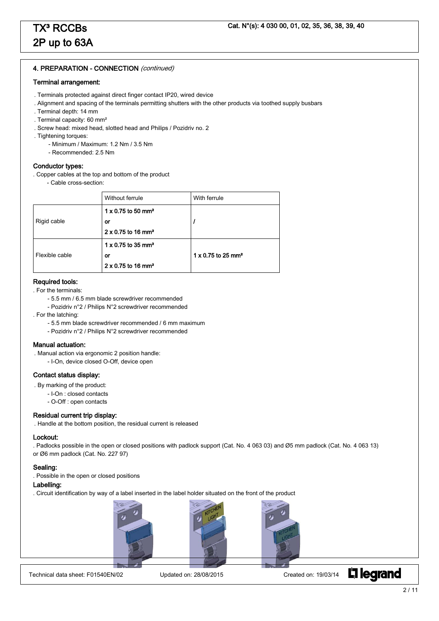# 4. PREPARATION - CONNECTION (continued)

#### Terminal arrangement:

- . Terminals protected against direct finger contact IP20, wired device
- . Alignment and spacing of the terminals permitting shutters with the other products via toothed supply busbars
- . Terminal depth: 14 mm
- . Terminal capacity: 60 mm²
- . Screw head: mixed head, slotted head and Philips / Pozidriv no. 2
- . Tightening torques:
	- Minimum / Maximum: 1.2 Nm / 3.5 Nm
	- Recommended: 2.5 Nm

# Conductor types:

- . Copper cables at the top and bottom of the product
	- Cable cross-section:

|                | Without ferrule                       | With ferrule                          |
|----------------|---------------------------------------|---------------------------------------|
|                | $1 \times 0.75$ to 50 mm <sup>2</sup> |                                       |
| Rigid cable    | <b>or</b>                             |                                       |
|                | $2 \times 0.75$ to 16 mm <sup>2</sup> |                                       |
|                | $1 \times 0.75$ to 35 mm <sup>2</sup> |                                       |
| Flexible cable | or                                    | $1 \times 0.75$ to 25 mm <sup>2</sup> |
|                | $2 \times 0.75$ to 16 mm <sup>2</sup> |                                       |

#### Required tools:

. For the terminals:

- 5.5 mm / 6.5 mm blade screwdriver recommended
- Pozidriv n°2 / Philips N°2 screwdriver recommended

. For the latching:

- 5.5 mm blade screwdriver recommended / 6 mm maximum
- Pozidriv n°2 / Philips N°2 screwdriver recommended

#### Manual actuation:

. Manual action via ergonomic 2 position handle:

- I-On, device closed O-Off, device open

# Contact status display:

- . By marking of the product:
	- I-On : closed contacts
	- O-Off : open contacts

#### Residual current trip display:

. Handle at the bottom position, the residual current is released

#### Lockout:

. Padlocks possible in the open or closed positions with padlock support (Cat. No. 4 063 03) and Ø5 mm padlock (Cat. No. 4 063 13) or Ø6 mm padlock (Cat. No. 227 97)

#### Sealing:

. Possible in the open or closed positions

# Labelling:

I

. Circuit identification by way of a label inserted in the label holder situated on the front of the product





Technical data sheet: F01540EN/02 Updated on: 28/08/2015 Created on: 19/03/14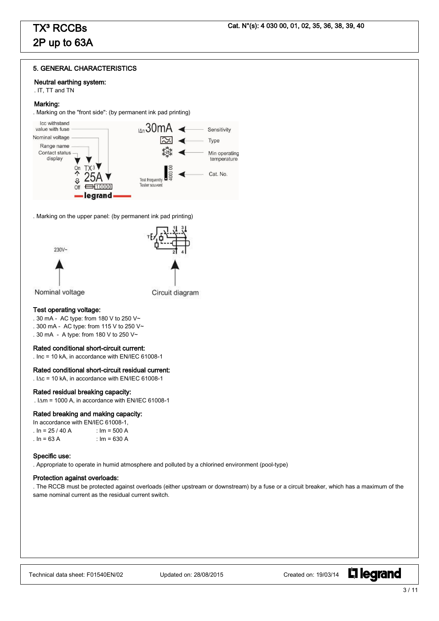# 5. GENERAL CHARACTERISTICS

### Neutral earthing system:

. IT, TT and TN

### Marking:

. Marking on the "front side": (by permanent ink pad printing)



. Marking on the upper panel: (by permanent ink pad printing)







Nominal voltage

Circuit diagram

# Test operating voltage:

- . 30 mA AC type: from 180 V to 250 V~
- . 300 mA AC type: from 115 V to 250 V~
- . 30 mA A type: from 180 V to 250 V~

#### Rated conditional short-circuit current:

. Inc = 10 kA, in accordance with EN/IEC 61008-1

### Rated conditional short-circuit residual current:

.  $IAC = 10$  kA, in accordance with EN/IEC 61008-1

#### Rated residual breaking capacity:

.  $I\Delta m = 1000$  A, in accordance with EN/IEC 61008-1

#### Rated breaking and making capacity:

| In accordance with EN/IEC 61008-1, |                |  |  |  |  |
|------------------------------------|----------------|--|--|--|--|
| . In = 25 / 40 A                   | : $Im = 500 A$ |  |  |  |  |
| . In = $63$ A                      | : Im = 630 A   |  |  |  |  |

#### Specific use:

. Appropriate to operate in humid atmosphere and polluted by a chlorined environment (pool-type)

#### Protection against overloads:

. The RCCB must be protected against overloads (either upstream or downstream) by a fuse or a circuit breaker, which has a maximum of the same nominal current as the residual current switch.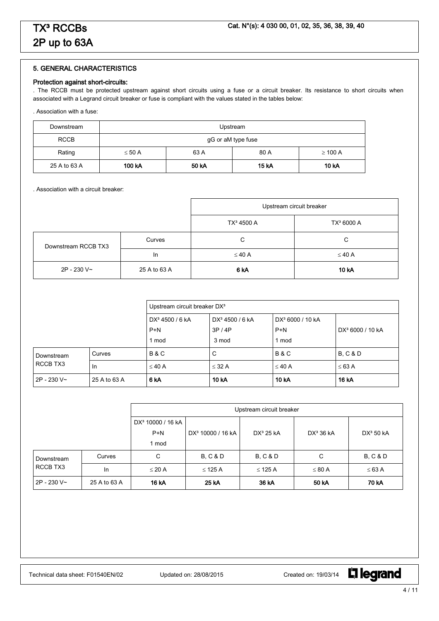# 5. GENERAL CHARACTERISTICS

### Protection against short-circuits:

. The RCCB must be protected upstream against short circuits using a fuse or a circuit breaker. Its resistance to short circuits when associated with a Legrand circuit breaker or fuse is compliant with the values stated in the tables below:

. Association with a fuse:

| Downstream   | Upstream                                    |                                            |  |  |  |  |  |
|--------------|---------------------------------------------|--------------------------------------------|--|--|--|--|--|
| <b>RCCB</b>  | gG or aM type fuse                          |                                            |  |  |  |  |  |
| Rating       | 63 A<br>80 A<br>$\leq 50$ A<br>$\geq$ 100 A |                                            |  |  |  |  |  |
| 25 A to 63 A | 100 kA                                      | <b>15 kA</b><br>50 kA<br>10 <sub>k</sub> A |  |  |  |  |  |

. Association with a circuit breaker:

|                     |              |                        | Upstream circuit breaker |
|---------------------|--------------|------------------------|--------------------------|
|                     |              | TX <sup>3</sup> 4500 A | TX <sup>3</sup> 6000 A   |
| Downstream RCCB TX3 | Curves       | C                      | C                        |
|                     | In           | $\leq 40$ A            | $\leq 40$ A              |
| 2P - 230 V~         | 25 A to 63 A | 6 kA                   | 10 kA                    |

|             |              | Upstream circuit breaker DX <sup>3</sup> |                             |                              |                              |  |  |
|-------------|--------------|------------------------------------------|-----------------------------|------------------------------|------------------------------|--|--|
|             |              | DX <sup>3</sup> 4500 / 6 kA              | DX <sup>3</sup> 4500 / 6 kA | DX <sup>3</sup> 6000 / 10 kA |                              |  |  |
|             |              | $P+N$                                    | 3P/4P                       | $P+N$                        | DX <sup>3</sup> 6000 / 10 kA |  |  |
|             |              | 1 mod                                    | 3 mod                       | 1 mod                        |                              |  |  |
| Downstream  | Curves       | <b>B&amp;C</b>                           | С                           | <b>B&amp;C</b>               | <b>B, C &amp; D</b>          |  |  |
| RCCB TX3    | In           | $\leq 40$ A                              | $\leq$ 32 A                 | $\leq$ 40 A                  | $\leq 63$ A                  |  |  |
| 2P - 230 V~ | 25 A to 63 A | 6 <sub>k</sub> A                         | 10 kA                       | 10 <sub>k</sub> A            | <b>16 kA</b>                 |  |  |

|             |              | Upstream circuit breaker      |                               |                     |              |                       |
|-------------|--------------|-------------------------------|-------------------------------|---------------------|--------------|-----------------------|
|             |              | DX <sup>3</sup> 10000 / 16 kA |                               |                     |              |                       |
|             |              | $P+N$                         | DX <sup>3</sup> 10000 / 16 kA | $DX^3$ 25 kA        | $DX^3$ 36 kA | DX <sup>3</sup> 50 kA |
|             |              | 1 mod                         |                               |                     |              |                       |
| Downstream  | Curves       | C                             | <b>B, C &amp; D</b>           | <b>B. C &amp; D</b> | C            | <b>B. C &amp; D</b>   |
| RCCB TX3    | In           | $\leq$ 20 A                   | $\leq$ 125 A                  | $\leq$ 125 A        | $\leq 80$ A  | $\leq 63$ A           |
| 2P - 230 V~ | 25 A to 63 A | 16 kA                         | 25 kA                         | 36 kA               | 50 kA        | 70 kA                 |

Technical data sheet: F01540EN/02 Updated on: 28/08/2015 Created on: 19/03/14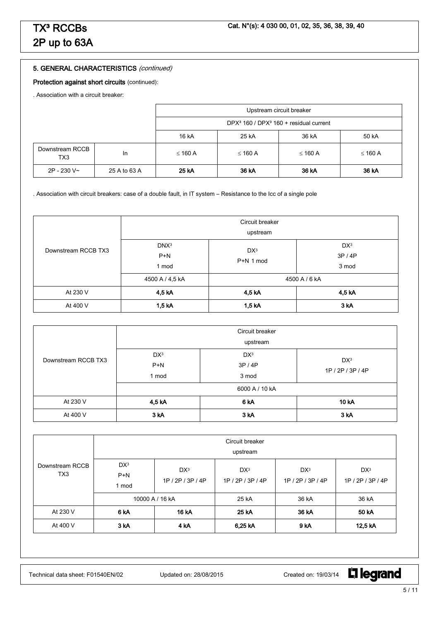# 5. GENERAL CHARACTERISTICS (continued)

# Protection against short circuits (continued):

. Association with a circuit breaker:

|                        |              | Upstream circuit breaker                                       |              |              |              |  |
|------------------------|--------------|----------------------------------------------------------------|--------------|--------------|--------------|--|
|                        |              | DPX <sup>3</sup> 160 / DPX <sup>3</sup> 160 + residual current |              |              |              |  |
|                        |              | 16 kA<br>25 kA<br>50 kA<br>36 kA                               |              |              |              |  |
| Downstream RCCB<br>TX3 | <b>In</b>    | $\leq$ 160 A                                                   | $\leq$ 160 A | $\leq$ 160 A | $\leq$ 160 A |  |
| 2P - 230 V~            | 25 A to 63 A | 25 kA                                                          | 36 kA        | 36 kA        | 36 kA        |  |

. Association with circuit breakers: case of a double fault, in IT system – Resistance to the Icc of a single pole

| Downstream RCCB TX3 | Circuit breaker<br>upstream        |                              |                                   |  |  |
|---------------------|------------------------------------|------------------------------|-----------------------------------|--|--|
|                     | DNX <sup>3</sup><br>$P+N$<br>1 mod | DX <sup>3</sup><br>P+N 1 mod | DX <sup>3</sup><br>3P/4P<br>3 mod |  |  |
|                     | 4500 A / 4,5 kA                    | 4500 A / 6 kA                |                                   |  |  |
| At 230 V            | 4,5 kA                             | 4,5 kA                       | 4,5 kA                            |  |  |
| At 400 V            | 1,5 kA                             | 1,5 kA                       | 3 kA                              |  |  |

| Downstream RCCB TX3 |                                   | Circuit breaker<br>upstream       |                                      |  |
|---------------------|-----------------------------------|-----------------------------------|--------------------------------------|--|
|                     | DX <sup>3</sup><br>$P+N$<br>1 mod | DX <sup>3</sup><br>3P/4P<br>3 mod | DX <sup>3</sup><br>1P / 2P / 3P / 4P |  |
|                     | 6000 A / 10 kA                    |                                   |                                      |  |
| At 230 V            | 4,5 kA                            | 6 <sub>k</sub> A                  | 10 kA                                |  |
| At 400 V            | 3 <sub>k</sub> A                  | 3 <sub>k</sub> A                  | 3 <sub>k</sub> A                     |  |

| Downstream RCCB<br>TX <sub>3</sub> | Circuit breaker<br>upstream       |                                |                                      |                                      |                                      |  |
|------------------------------------|-----------------------------------|--------------------------------|--------------------------------------|--------------------------------------|--------------------------------------|--|
|                                    | DX <sup>3</sup><br>$P+N$<br>1 mod | DX <sup>3</sup><br>1P/2P/3P/4P | DX <sup>3</sup><br>1P / 2P / 3P / 4P | DX <sup>3</sup><br>1P / 2P / 3P / 4P | DX <sup>3</sup><br>1P / 2P / 3P / 4P |  |
|                                    | 10000 A / 16 kA                   |                                | 25 kA                                | 36 kA                                | 36 kA                                |  |
| At 230 V                           | 6 <sub>k</sub> A                  | 16 kA                          | 25 kA                                | 36 kA                                | 50 kA                                |  |
| At 400 V                           | 3 <sub>k</sub> A                  | 4 <sub>k</sub> A               | 6,25 kA                              | 9 kA                                 | 12,5 kA                              |  |

Technical data sheet: F01540EN/02 Updated on: 28/08/2015 Created on: 19/03/14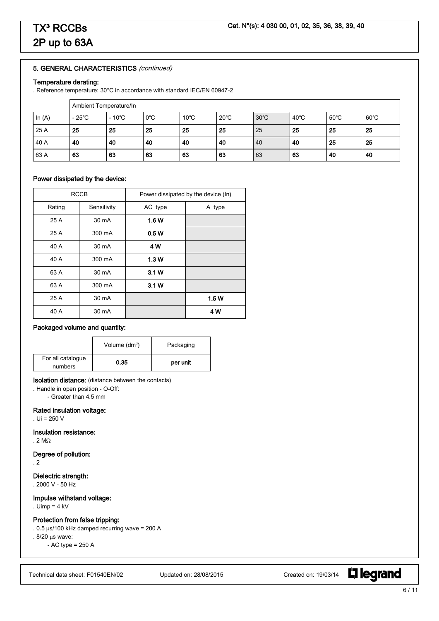# 5. GENERAL CHARACTERISTICS (continued)

# Temperature derating:

. Reference temperature: 30°C in accordance with standard IEC/EN 60947-2

|          | Ambient Temperature/In |                 |               |                |                |                |                |                |                |
|----------|------------------------|-----------------|---------------|----------------|----------------|----------------|----------------|----------------|----------------|
| In $(A)$ | $-25^{\circ}$ C        | $-10^{\circ}$ C | $0^{\circ}$ C | $10^{\circ}$ C | $20^{\circ}$ C | $30^{\circ}$ C | $40^{\circ}$ C | $50^{\circ}$ C | $60^{\circ}$ C |
| 25 A     | 25                     | 25              | 25            | 25             | 25             | 25             | 25             | 25             | 25             |
| 40 A     | 40                     | 40              | 40            | 40             | 40             | 40             | 40             | 25             | 25             |
| 63 A     | 63                     | 63              | 63            | 63             | 63             | 63             | 63             | 40             | 40             |

# Power dissipated by the device:

|        | <b>RCCB</b> |         | Power dissipated by the device (In) |
|--------|-------------|---------|-------------------------------------|
| Rating | Sensitivity | AC type | A type                              |
| 25 A   | 30 mA       | 1.6 W   |                                     |
| 25 A   | 300 mA      | 0.5W    |                                     |
| 40 A   | 30 mA       | 4 W     |                                     |
| 40 A   | 300 mA      | 1.3W    |                                     |
| 63 A   | 30 mA       | 3.1W    |                                     |
| 63 A   | 300 mA      | 3.1W    |                                     |
| 25 A   | 30 mA       |         | 1.5W                                |
| 40 A   | 30 mA       |         | 4 W                                 |

# Packaged volume and quantity:

|                              | Volume $(dm^3)$ | Packaging |
|------------------------------|-----------------|-----------|
| For all catalogue<br>numbers | 0.35            | per unit  |

### Isolation distance: (distance between the contacts)

. Handle in open position - O-Off:

- Greater than 4.5 mm

# Rated insulation voltage:

. Ui = 250 V

# Insulation resistance:

. 2 M $\Omega$ 

# Degree of pollution:

. 2

# Dielectric strength:

. 2000 V - 50 Hz

# Impulse withstand voltage:

. Uimp = 4 kV

# Protection from false tripping:

. 0.5 µs/100 kHz damped recurring wave = 200 A

.  $8/20 \,\mu s$  wave:

- AC type = 250 A

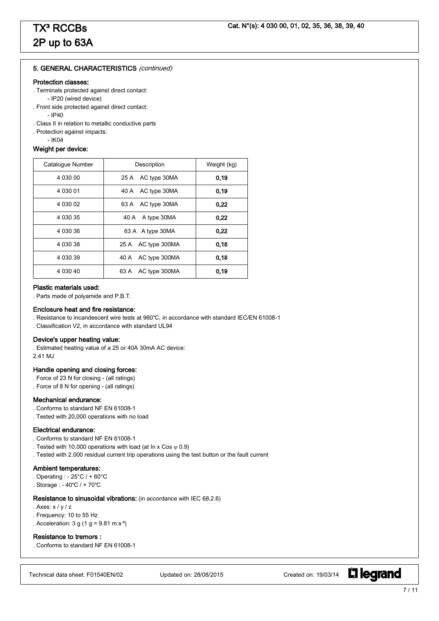#### 5. GENERAL CHARACTERISTICS (continued)

#### Protection classes:

- . Terminals protected against direct contact: - IP20 (wired device)
- . Front side protected against direct contact:
	- $-$  IP40
- . Class II in relation to metallic conductive parts
- . Protection against impacts:
	- IK04

# Weight per device:

| Catalogue Number | Description           | Weight (kg) |  |
|------------------|-----------------------|-------------|--|
| 4 030 00         | 25 A AC type 30MA     | 0.19        |  |
| 4 030 01         | 40 A AC type 30MA     | 0.19        |  |
| 4 030 02         | 63 A AC type 30MA     | 0.22        |  |
| 4 0 3 0 3 5      | 40 A A type 30MA      | 0.22        |  |
| 4 030 36         | 63 A A type 30MA      | 0.22        |  |
| 4 0 3 0 3 8      | 25 A AC type 300MA    | 0.18        |  |
| 4 0 3 0 3 9      | AC type 300MA<br>40 A | 0.18        |  |
| 4 0 3 0 4 0      | AC type 300MA<br>63 A | 0.19        |  |

#### Plastic materials used:

. Parts made of polyamide and P.B.T.

#### Enclosure heat and fire resistance:

. Resistance to incandescent wire tests at 960℃, in accordance with standard IEC/EN 61008-1

. Classification V2, in accordance with standard UL94

#### Device's upper heating value:

. Estimated heating value of a 25 or 40A 30mA AC device: 2.41 MJ

### Handle opening and closing forces:

- . Force of 23 N for closing (all ratings)
- . Force of 8 N for opening (all ratings)

### Mechanical endurance:

- . Conforms to standard NF EN 61008-1
- . Tested with 20,000 operations with no load

#### Electrical endurance:

- . Conforms to standard NF EN 61008-1
- . Tested with 10.000 operations with load (at In x Cos  $\varphi$  0.9)
- . Tested with 2.000 residual current trip operations using the test button or the fault current

#### Ambient temperatures:

- . Operating : 25°C / + 60°C
- . Storage : 40℃ / + 70℃

#### Resistance to sinusoidal vibrations: (in accordance with IEC 68.2.6)

- . Axes: x / y / z
- . Frequency: 10 to 55 Hz
- . Acceleration:  $3 g (1 g = 9.81 m.s<sup>-2</sup>)$

#### Resistance to tremors :

. Conforms to standard NF EN 61008-1

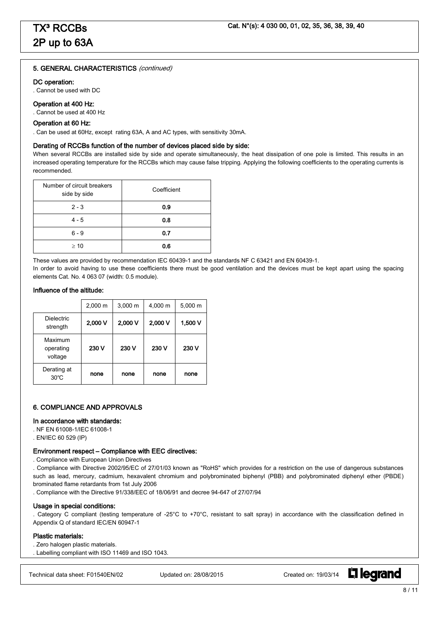#### 5. GENERAL CHARACTERISTICS (continued)

#### DC operation:

. Cannot be used with DC

### Operation at 400 Hz:

. Cannot be used at 400 Hz

#### Operation at 60 Hz:

. Can be used at 60Hz, except rating 63A, A and AC types, with sensitivity 30mA.

#### Derating of RCCBs function of the number of devices placed side by side:

When several RCCBs are installed side by side and operate simultaneously, the heat dissipation of one pole is limited. This results in an increased operating temperature for the RCCBs which may cause false tripping. Applying the following coefficients to the operating currents is recommended.

| Number of circuit breakers<br>side by side | Coefficient |  |
|--------------------------------------------|-------------|--|
| $2 - 3$                                    | 0.9         |  |
| $4 - 5$                                    | 0.8         |  |
| $6 - 9$                                    | 0.7         |  |
| $\geq 10$                                  | 0.6         |  |

These values are provided by recommendation IEC 60439-1 and the standards NF C 63421 and EN 60439-1.

In order to avoid having to use these coefficients there must be good ventilation and the devices must be kept apart using the spacing elements Cat. No. 4 063 07 (width: 0.5 module).

#### Influence of the altitude:

|                                 | $2,000 \; m$ | $3,000 \; m$ | 4,000 m | $5,000 \; m$ |
|---------------------------------|--------------|--------------|---------|--------------|
| <b>Dielectric</b><br>strength   | 2,000 V      | 2,000 V      | 2,000 V | 1,500 V      |
| Maximum<br>operating<br>voltage | 230 V        | 230 V        | 230 V   | 230 V        |
| Derating at<br>$30^{\circ}$ C   | none         | none         | none    | none         |

# 6. COMPLIANCE AND APPROVALS

#### In accordance with standards:

- . NF EN 61008-1/IEC 61008-1
- . EN/IEC 60 529 (IP)

### Environment respect – Compliance with EEC directives:

. Compliance with European Union Directives

. Compliance with Directive 2002/95/EC of 27/01/03 known as "RoHS" which provides for a restriction on the use of dangerous substances such as lead, mercury, cadmium, hexavalent chromium and polybrominated biphenyl (PBB) and polybrominated diphenyl ether (PBDE) brominated flame retardants from 1st July 2006

. Compliance with the Directive 91/338/EEC of 18/06/91 and decree 94-647 of 27/07/94

#### Usage in special conditions:

. Category C compliant (testing temperature of -25°C to +70°C, resistant to salt spray) in accordance with the classification defined in Appendix Q of standard IEC/EN 60947-1

#### Plastic materials:

. Zero halogen plastic materials.

. Labelling compliant with ISO 11469 and ISO 1043.

Technical data sheet: F01540EN/02 Updated on: 28/08/2015 Created on: 19/03/14

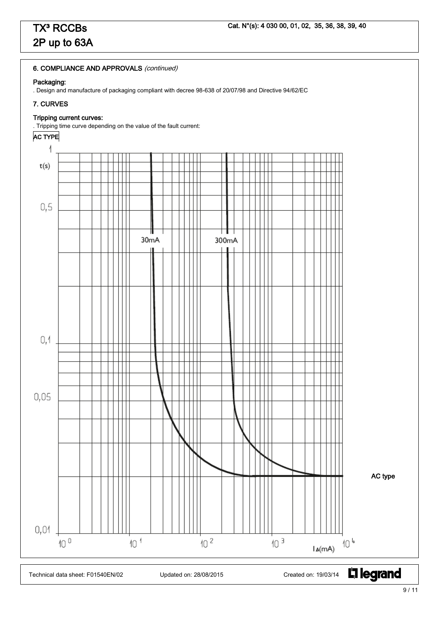# 6. COMPLIANCE AND APPROVALS (continued)

# Packaging:

. Design and manufacture of packaging compliant with decree 98-638 of 20/07/98 and Directive 94/62/EC

# 7. CURVES

# Tripping current curves:

. Tripping time curve depending on the value of the fault current:

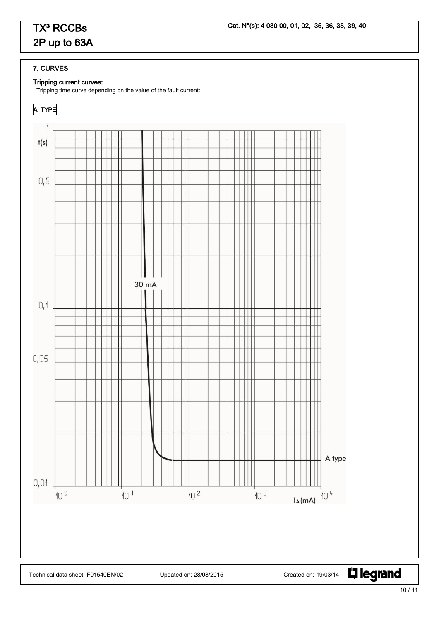# 7. CURVES

# Tripping current curves:

. Tripping time curve depending on the value of the fault current: